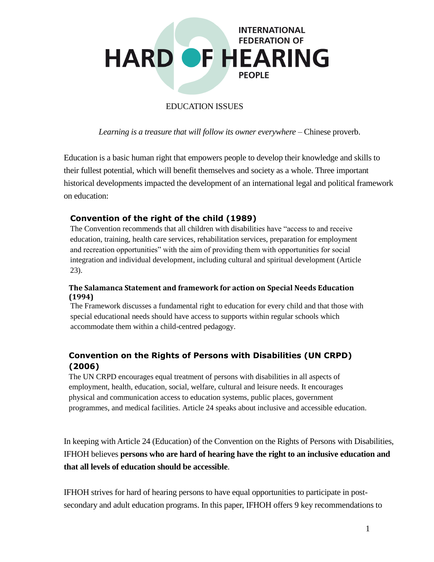

# EDUCATION ISSUES

*Learning is a treasure that will follow its owner everywhere* – Chinese proverb.

Education is a basic human right that empowers people to develop their knowledge and skills to their fullest potential, which will benefit themselves and society as a whole. Three important historical developments impacted the development of an international legal and political framework on education:

## **Convention of the right of the child (1989)**

The Convention recommends that all children with disabilities have "access to and receive education, training, health care services, rehabilitation services, preparation for employment and recreation opportunities" with the aim of providing them with opportunities for social integration and individual development, including cultural and spiritual development (Article 23).

## **The Salamanca Statement and framework for action on Special Needs Education (1994)**

The Framework discusses a fundamental right to education for every child and that those with special educational needs should have access to supports within regular schools which accommodate them within a child-centred pedagogy.

# **Convention on the Rights of Persons with Disabilities (UN CRPD) (2006)**

The UN CRPD encourages equal treatment of persons with disabilities in all aspects of employment, health, education, social, welfare, cultural and leisure needs. It encourages physical and communication access to education systems, public places, government programmes, and medical facilities. Article 24 speaks about inclusive and accessible education.

In keeping with Article 24 (Education) of the Convention on the Rights of Persons with Disabilities, IFHOH believes **persons who are hard of hearing have the right to an inclusive education and that all levels of education should be accessible**.

IFHOH strives for hard of hearing persons to have equal opportunities to participate in postsecondary and adult education programs. In this paper, IFHOH offers 9 key recommendations to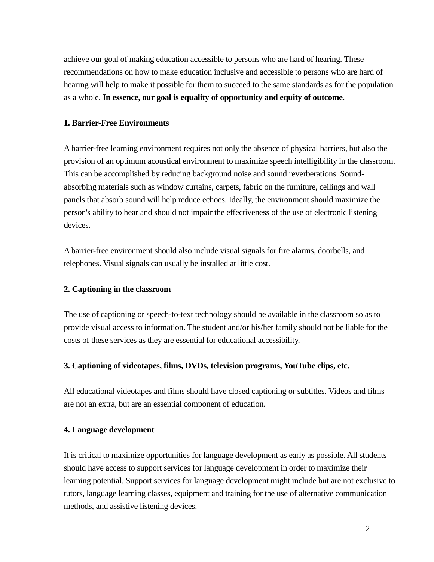achieve our goal of making education accessible to persons who are hard of hearing. These recommendations on how to make education inclusive and accessible to persons who are hard of hearing will help to make it possible for them to succeed to the same standards as for the population as a whole. **In essence, our goal is equality of opportunity and equity of outcome**.

#### **1. Barrier-Free Environments**

A barrier-free learning environment requires not only the absence of physical barriers, but also the provision of an optimum acoustical environment to maximize speech intelligibility in the classroom. This can be accomplished by reducing background noise and sound reverberations. Soundabsorbing materials such as window curtains, carpets, fabric on the furniture, ceilings and wall panels that absorb sound will help reduce echoes. Ideally, the environment should maximize the person's ability to hear and should not impair the effectiveness of the use of electronic listening devices.

A barrier-free environment should also include visual signals for fire alarms, doorbells, and telephones. Visual signals can usually be installed at little cost.

#### **2. Captioning in the classroom**

The use of captioning or speech-to-text technology should be available in the classroom so as to provide visual access to information. The student and/or his/her family should not be liable for the costs of these services as they are essential for educational accessibility.

#### **3. Captioning of videotapes, films, DVDs, television programs, YouTube clips, etc.**

All educational videotapes and films should have closed captioning or subtitles. Videos and films are not an extra, but are an essential component of education.

#### **4. Language development**

It is critical to maximize opportunities for language development as early as possible. All students should have access to support services for language development in order to maximize their learning potential. Support services for language development might include but are not exclusive to tutors, language learning classes, equipment and training for the use of alternative communication methods, and assistive listening devices.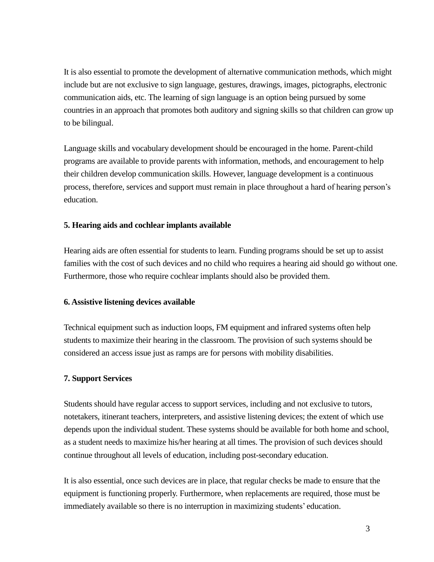It is also essential to promote the development of alternative communication methods, which might include but are not exclusive to sign language, gestures, drawings, images, pictographs, electronic communication aids, etc. The learning of sign language is an option being pursued by some countries in an approach that promotes both auditory and signing skills so that children can grow up to be bilingual.

Language skills and vocabulary development should be encouraged in the home. Parent-child programs are available to provide parents with information, methods, and encouragement to help their children develop communication skills. However, language development is a continuous process, therefore, services and support must remain in place throughout a hard of hearing person's education.

## **5. Hearing aids and cochlear implants available**

Hearing aids are often essential for students to learn. Funding programs should be set up to assist families with the cost of such devices and no child who requires a hearing aid should go without one. Furthermore, those who require cochlear implants should also be provided them.

## **6. Assistive listening devices available**

Technical equipment such as induction loops, FM equipment and infrared systems often help students to maximize their hearing in the classroom. The provision of such systems should be considered an access issue just as ramps are for persons with mobility disabilities.

## **7. Support Services**

Students should have regular access to support services, including and not exclusive to tutors, notetakers, itinerant teachers, interpreters, and assistive listening devices; the extent of which use depends upon the individual student. These systems should be available for both home and school, as a student needs to maximize his/her hearing at all times. The provision of such devices should continue throughout all levels of education, including post-secondary education.

It is also essential, once such devices are in place, that regular checks be made to ensure that the equipment is functioning properly. Furthermore, when replacements are required, those must be immediately available so there is no interruption in maximizing students' education.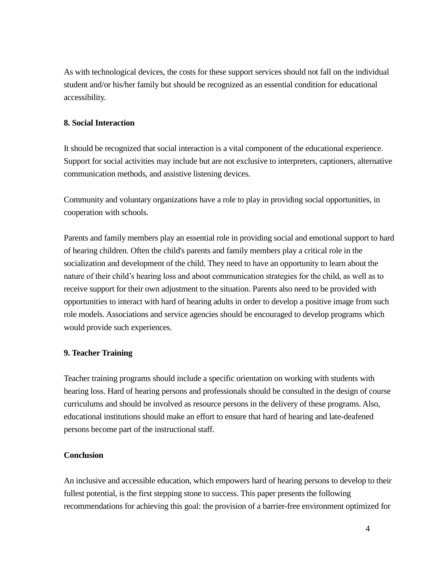As with technological devices, the costs for these support services should not fall on the individual student and/or his/her family but should be recognized as an essential condition for educational accessibility.

#### **8. Social Interaction**

It should be recognized that social interaction is a vital component of the educational experience. Support for social activities may include but are not exclusive to interpreters, captioners, alternative communication methods, and assistive listening devices.

Community and voluntary organizations have a role to play in providing social opportunities, in cooperation with schools.

Parents and family members play an essential role in providing social and emotional support to hard of hearing children. Often the child's parents and family members play a critical role in the socialization and development of the child. They need to have an opportunity to learn about the nature of their child's hearing loss and about communication strategies for the child, as well as to receive support for their own adjustment to the situation. Parents also need to be provided with opportunities to interact with hard of hearing adults in order to develop a positive image from such role models. Associations and service agencies should be encouraged to develop programs which would provide such experiences.

## **9. Teacher Training**

Teacher training programs should include a specific orientation on working with students with hearing loss. Hard of hearing persons and professionals should be consulted in the design of course curriculums and should be involved as resource persons in the delivery of these programs. Also, educational institutions should make an effort to ensure that hard of hearing and late-deafened persons become part of the instructional staff.

#### **Conclusion**

An inclusive and accessible education, which empowers hard of hearing persons to develop to their fullest potential, is the first stepping stone to success. This paper presents the following recommendations for achieving this goal: the provision of a barrier-free environment optimized for